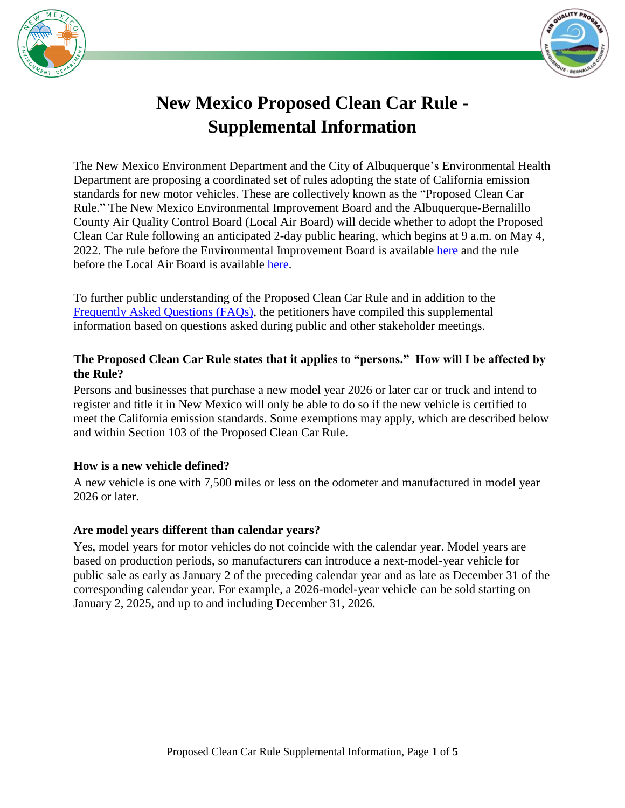



# **New Mexico Proposed Clean Car Rule - Supplemental Information**

The New Mexico Environment Department and the City of Albuquerque's Environmental Health Department are proposing a coordinated set of rules adopting the state of California emission standards for new motor vehicles. These are collectively known as the "Proposed Clean Car Rule." The New Mexico Environmental Improvement Board and the Albuquerque-Bernalillo County Air Quality Control Board (Local Air Board) will decide whether to adopt the Proposed Clean Car Rule following an anticipated 2-day public hearing, which begins at 9 a.m. on May 4, 2022. The rule before the Environmental Improvement Board is available [here](https://www.cabq.gov/airquality/documents/nmed-proposed-regulation.pdf) and the rule before the Local Air Board is available [here.](https://www.cabq.gov/airquality/documents/2022-01-25_part-104_petition_ex-c_replacement-20-11-104-nmac_final.pdf)

To further public understanding of the Proposed Clean Car Rule and in addition to the [Frequently Asked Questions \(FAQs\),](https://cloud.env.nm.gov/air/resources/_translator.php/NoP4Wd1EyorPC~sl~BWz~sl~H2+PXdCQEKefUZ7Ou8Vgq~sl~x2ZYzqa1zexRjc0U1dAwqbZE~sl~H8VQ4Lb+B6IVr2ciTqWPYa8cdNmM+VT4Affw~sl~9T+xQ64W0LFq4HZCJunSuh8cM7.pdf) the petitioners have compiled this supplemental information based on questions asked during public and other stakeholder meetings.

## **The Proposed Clean Car Rule states that it applies to "persons." How will I be affected by the Rule?**

Persons and businesses that purchase a new model year 2026 or later car or truck and intend to register and title it in New Mexico will only be able to do so if the new vehicle is certified to meet the California emission standards. Some exemptions may apply, which are described below and within Section 103 of the Proposed Clean Car Rule.

# **How is a new vehicle defined?**

A new vehicle is one with 7,500 miles or less on the odometer and manufactured in model year 2026 or later.

# **Are model years different than calendar years?**

Yes, model years for motor vehicles do not coincide with the calendar year. Model years are based on production periods, so manufacturers can introduce a next-model-year vehicle for public sale as early as January 2 of the preceding calendar year and as late as December 31 of the corresponding calendar year. For example, a 2026-model-year vehicle can be sold starting on January 2, 2025, and up to and including December 31, 2026.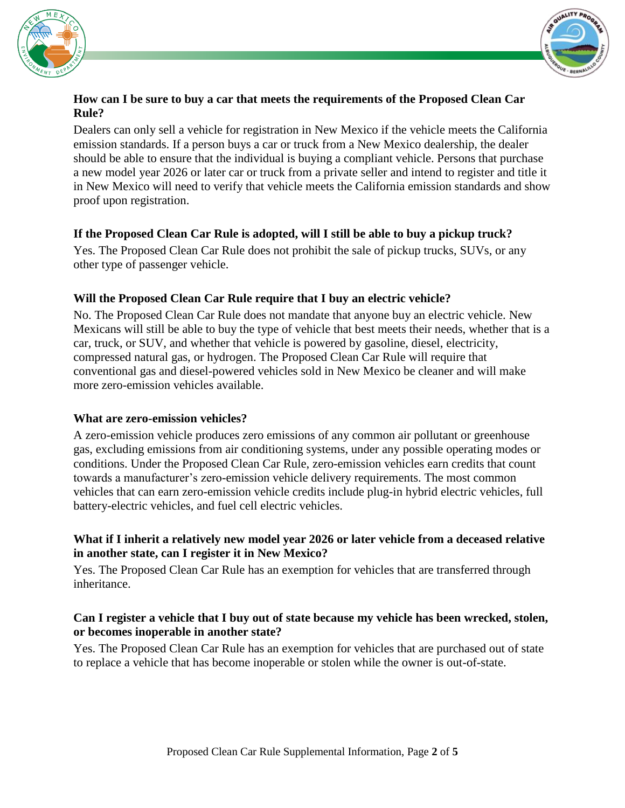



#### **How can I be sure to buy a car that meets the requirements of the Proposed Clean Car Rule?**

Dealers can only sell a vehicle for registration in New Mexico if the vehicle meets the California emission standards. If a person buys a car or truck from a New Mexico dealership, the dealer should be able to ensure that the individual is buying a compliant vehicle. Persons that purchase a new model year 2026 or later car or truck from a private seller and intend to register and title it in New Mexico will need to verify that vehicle meets the California emission standards and show proof upon registration.

## **If the Proposed Clean Car Rule is adopted, will I still be able to buy a pickup truck?**

Yes. The Proposed Clean Car Rule does not prohibit the sale of pickup trucks, SUVs, or any other type of passenger vehicle.

## **Will the Proposed Clean Car Rule require that I buy an electric vehicle?**

No. The Proposed Clean Car Rule does not mandate that anyone buy an electric vehicle. New Mexicans will still be able to buy the type of vehicle that best meets their needs, whether that is a car, truck, or SUV, and whether that vehicle is powered by gasoline, diesel, electricity, compressed natural gas, or hydrogen. The Proposed Clean Car Rule will require that conventional gas and diesel-powered vehicles sold in New Mexico be cleaner and will make more zero-emission vehicles available.

#### **What are zero-emission vehicles?**

A zero-emission vehicle produces zero emissions of any common air pollutant or greenhouse gas, excluding emissions from air conditioning systems, under any possible operating modes or conditions. Under the Proposed Clean Car Rule, zero-emission vehicles earn credits that count towards a manufacturer's zero-emission vehicle delivery requirements. The most common vehicles that can earn zero-emission vehicle credits include plug-in hybrid electric vehicles, full battery-electric vehicles, and fuel cell electric vehicles.

## **What if I inherit a relatively new model year 2026 or later vehicle from a deceased relative in another state, can I register it in New Mexico?**

Yes. The Proposed Clean Car Rule has an exemption for vehicles that are transferred through inheritance.

#### **Can I register a vehicle that I buy out of state because my vehicle has been wrecked, stolen, or becomes inoperable in another state?**

Yes. The Proposed Clean Car Rule has an exemption for vehicles that are purchased out of state to replace a vehicle that has become inoperable or stolen while the owner is out-of-state.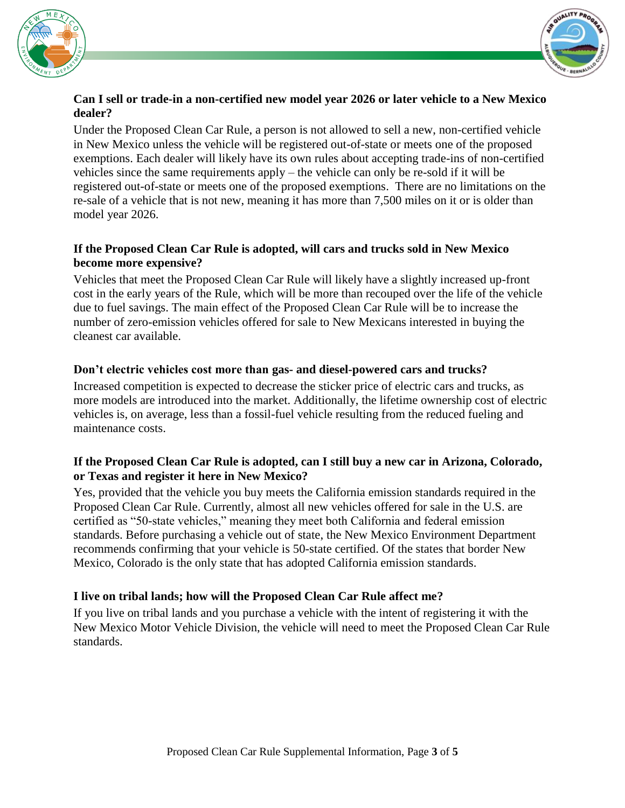



#### **Can I sell or trade-in a non-certified new model year 2026 or later vehicle to a New Mexico dealer?**

Under the Proposed Clean Car Rule, a person is not allowed to sell a new, non-certified vehicle in New Mexico unless the vehicle will be registered out-of-state or meets one of the proposed exemptions. Each dealer will likely have its own rules about accepting trade-ins of non-certified vehicles since the same requirements apply – the vehicle can only be re-sold if it will be registered out-of-state or meets one of the proposed exemptions. There are no limitations on the re-sale of a vehicle that is not new, meaning it has more than 7,500 miles on it or is older than model year 2026.

# **If the Proposed Clean Car Rule is adopted, will cars and trucks sold in New Mexico become more expensive?**

Vehicles that meet the Proposed Clean Car Rule will likely have a slightly increased up-front cost in the early years of the Rule, which will be more than recouped over the life of the vehicle due to fuel savings. The main effect of the Proposed Clean Car Rule will be to increase the number of zero-emission vehicles offered for sale to New Mexicans interested in buying the cleanest car available.

## **Don't electric vehicles cost more than gas- and diesel-powered cars and trucks?**

Increased competition is expected to decrease the sticker price of electric cars and trucks, as more models are introduced into the market. Additionally, the lifetime ownership cost of electric vehicles is, on average, less than a fossil-fuel vehicle resulting from the reduced fueling and maintenance costs.

#### **If the Proposed Clean Car Rule is adopted, can I still buy a new car in Arizona, Colorado, or Texas and register it here in New Mexico?**

Yes, provided that the vehicle you buy meets the California emission standards required in the Proposed Clean Car Rule. Currently, almost all new vehicles offered for sale in the U.S. are certified as "50-state vehicles," meaning they meet both California and federal emission standards. Before purchasing a vehicle out of state, the New Mexico Environment Department recommends confirming that your vehicle is 50-state certified. Of the states that border New Mexico, Colorado is the only state that has adopted California emission standards.

# **I live on tribal lands; how will the Proposed Clean Car Rule affect me?**

If you live on tribal lands and you purchase a vehicle with the intent of registering it with the New Mexico Motor Vehicle Division, the vehicle will need to meet the Proposed Clean Car Rule standards.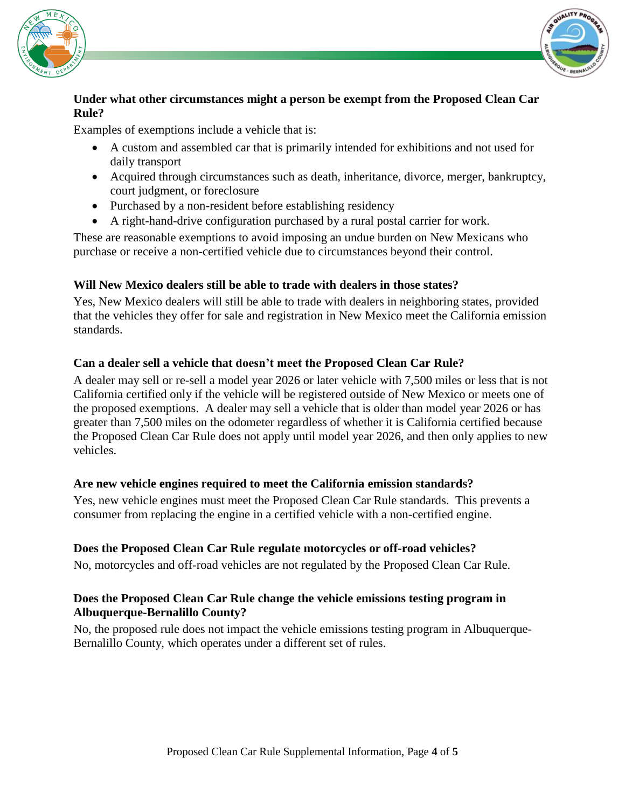



## **Under what other circumstances might a person be exempt from the Proposed Clean Car Rule?**

Examples of exemptions include a vehicle that is:

- A custom and assembled car that is primarily intended for exhibitions and not used for daily transport
- Acquired through circumstances such as death, inheritance, divorce, merger, bankruptcy, court judgment, or foreclosure
- Purchased by a non-resident before establishing residency
- A right-hand-drive configuration purchased by a rural postal carrier for work.

These are reasonable exemptions to avoid imposing an undue burden on New Mexicans who purchase or receive a non-certified vehicle due to circumstances beyond their control.

## **Will New Mexico dealers still be able to trade with dealers in those states?**

Yes, New Mexico dealers will still be able to trade with dealers in neighboring states, provided that the vehicles they offer for sale and registration in New Mexico meet the California emission standards.

## **Can a dealer sell a vehicle that doesn't meet the Proposed Clean Car Rule?**

A dealer may sell or re-sell a model year 2026 or later vehicle with 7,500 miles or less that is not California certified only if the vehicle will be registered outside of New Mexico or meets one of the proposed exemptions. A dealer may sell a vehicle that is older than model year 2026 or has greater than 7,500 miles on the odometer regardless of whether it is California certified because the Proposed Clean Car Rule does not apply until model year 2026, and then only applies to new vehicles.

#### **Are new vehicle engines required to meet the California emission standards?**

Yes, new vehicle engines must meet the Proposed Clean Car Rule standards. This prevents a consumer from replacing the engine in a certified vehicle with a non-certified engine.

# **Does the Proposed Clean Car Rule regulate motorcycles or off-road vehicles?**

No, motorcycles and off-road vehicles are not regulated by the Proposed Clean Car Rule.

## **Does the Proposed Clean Car Rule change the vehicle emissions testing program in Albuquerque-Bernalillo County?**

No, the proposed rule does not impact the vehicle emissions testing program in Albuquerque-Bernalillo County, which operates under a different set of rules.